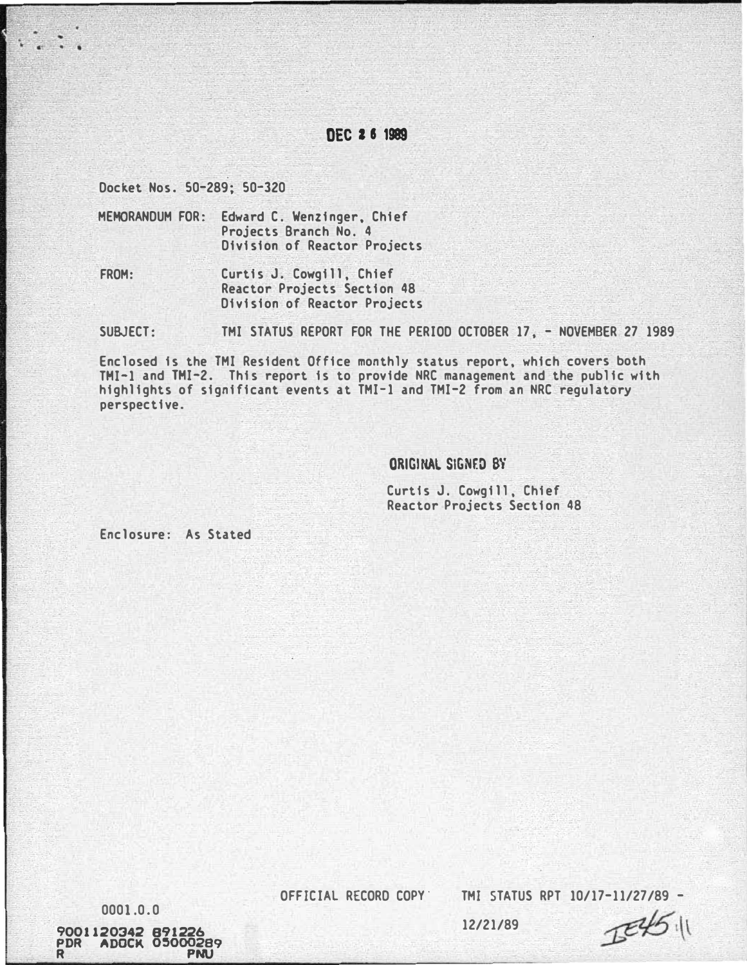# DEC 2 6 1989

Docket Nos. 50-289; 50-320

.

. . .

MEMORANDUM FOR: Edward C. Wenzinger, Chief Projects Branch No. 4 Division of Reactor Projects

FROM: Curtis J. Cowgill, Chief Reactor Projects Section 48 Division of Reactor Projects

SUBJECT: TMI STATUS REPORT FOR THE PERIOD OCTOBER 17, - NOVEMBER 27 1989

Enclosed is the TMI Resident Office monthly status report, which covers both THI-1 and THI-2. This report is to provide NRC management and the public with highlights of significant events at TMI-1 and TMI-2 from an NRC regulatory perspective.

ORIGINAL SIGNED BY

Curtis J. Cowgill, Chief Reactor Projects Section 48

Enclosure: As Stated

0001.0.0

9001120342 891226 PDR ADOCK 05000289 R PNU

OFFICIAL RECORD COPY'

TMI STATUS RPT 10/17-11/27/89 -

 $E45$ 

12/21/89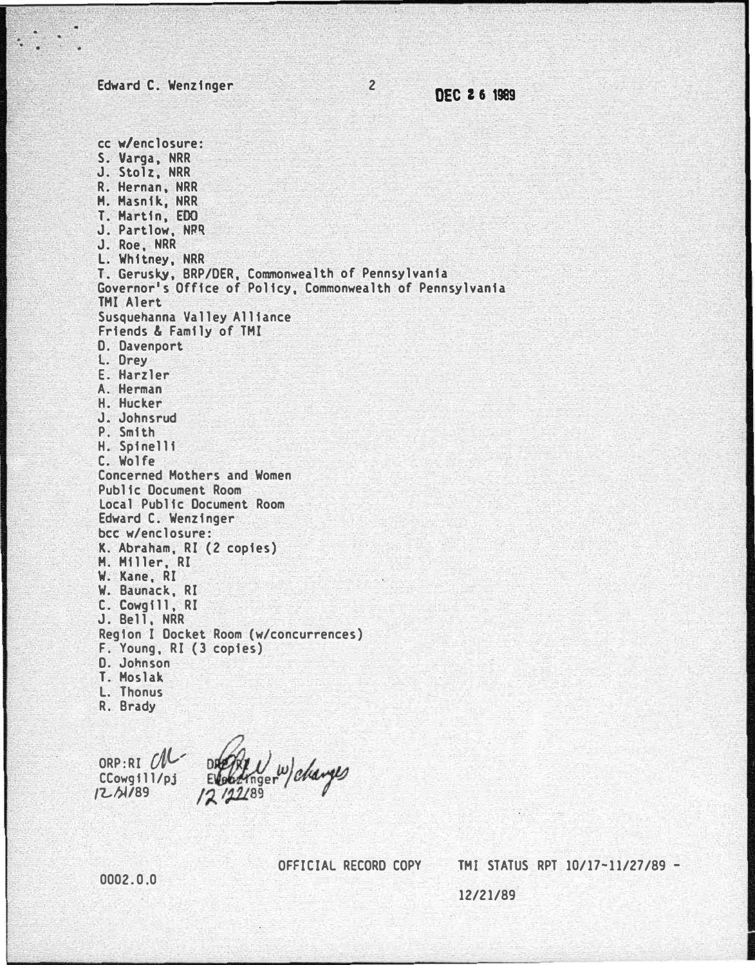Edward C. Wenzinger

·.

<sup>2</sup>DEC 2 6 1989

cc w/enclosure: S. Varga, NRR J. Stolz, NRR R. Hernan, NRR H. Hasnik., NRR T. Hartin, EDO J. Partlow, NRq J. Roe, NRR L. Whitney, NRR T. Gerusky, BRP/DER, Commonwealth of Pennsylvania Governor's Office of Policy, Commonwealth of Pennsylvania TMI Alert Susquehanna Valley Alliance Friends & Family of TMI D. Davenport L. Drey E. Harzler A. Herman H. Hucker J. Johnsrud P. Smith H. Spinelli C. Wolfe Concerned Mothers and Women Public Document Room Local Public Document Room Edward C. Wenzinger bee w/enclosure: K. Abraham, RI (2 copies) H. Hiller, RI W. Kane, RI W. Baunack., RI C. Cowgfll. RI J. Bell. NRR Region I Docket Room (w/concurrences) F. Young, RI (3 copies) D. Johnson T. Hoslak. L. Thonus R. Brady

ORP: RI  $ClC$ nger changes CCowgfll/pj  $12/122/89$  $12.01/89$ 

OFFICIAL RECORD COPY TMI STATUS RPT 10/17-11/27/89 -

I

0002.0.0

12/21/89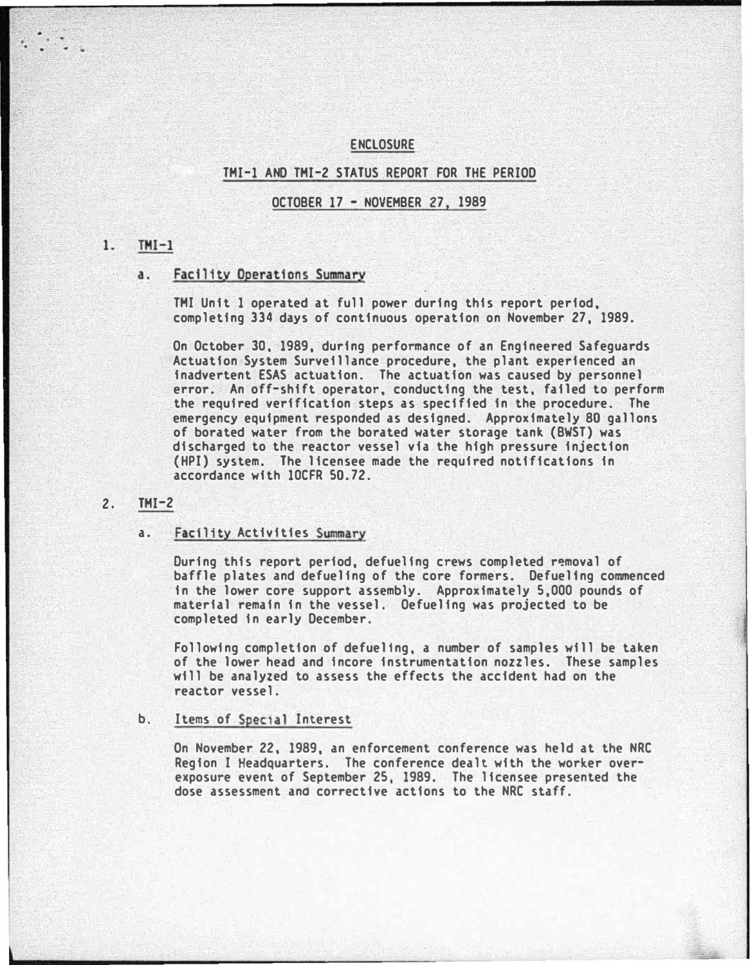### ENCLOSURE

## THI-1 AND THI-2 STATUS REPORT FOR THE PERIOD

OCTOBER 17- NOVEMBER 27, 1989

#### $TMI-1$  $1.$

## a. Facility Operations Summary

THI Unit 1 operated at full power during this report period, completing 334 days of continuous operation on November 27, 1989.

On October 30, 1989, during performance of an Engineered Safeguards Actuation System Surveillance procedure, the plant experienced an inadvertent ESAS actuation. The actuation was caused by personnel error. An off-shift operator, conducting the test, failed to perform the required verification steps as specified in the procedure. The emergency equipment responded as designed. Approximately 80 gallons of borated water from the borated water storage tank (BWST) was discharged to the reactor vessel via the high pressure injection (HPI) system. The licensee made the required notifications in accordance with 10CFR 50.72.

## 2. THI-2

#### a. Facility Activities Summary

During this report period, defueling crews completed r�moval of baffle plates and defueling of the core formers. Defuelfng commenced in the lower core support assembly. Approximately 5,000 pounds of material remain in the vessel. Oefueling was projected to be completed in early December.

Following completion of defuelfng, a number of samples will be taken of the lower head and fncore instrumentation nozzles. These samples will be analyzed to assess the effects the accident had on the reactor vessel.

## b. Items of Special Interest

On November 22, 1989, an enforcement conference was held at the NRC Region I Headquarters. The conference dealt with the worker overexposure event of September 25, 1989. The licensee presented the dose assessment ana corrective actions to the NRC staff.